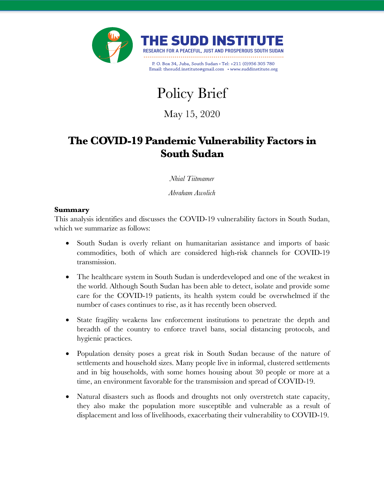



May 15, 2020

# **The COVID-19 Pandemic Vulnerability Factors in South Sudan**

*Nhial Tiitmamer*

*Abraham Awolich*

### **Summary**

This analysis identifies and discusses the COVID-19 vulnerability factors in South Sudan, which we summarize as follows:

- South Sudan is overly reliant on humanitarian assistance and imports of basic commodities, both of which are considered high-risk channels for COVID-19 transmission.
- The healthcare system in South Sudan is underdeveloped and one of the weakest in the world. Although South Sudan has been able to detect, isolate and provide some care for the COVID-19 patients, its health system could be overwhelmed if the number of cases continues to rise, as it has recently been observed.
- State fragility weakens law enforcement institutions to penetrate the depth and breadth of the country to enforce travel bans, social distancing protocols, and hygienic practices.
- Population density poses a great risk in South Sudan because of the nature of settlements and household sizes. Many people live in informal, clustered settlements and in big households, with some homes housing about 30 people or more at a time, an environment favorable for the transmission and spread of COVID-19.
- Natural disasters such as floods and droughts not only overstretch state capacity, they also make the population more susceptible and vulnerable as a result of displacement and loss of livelihoods, exacerbating their vulnerability to COVID-19.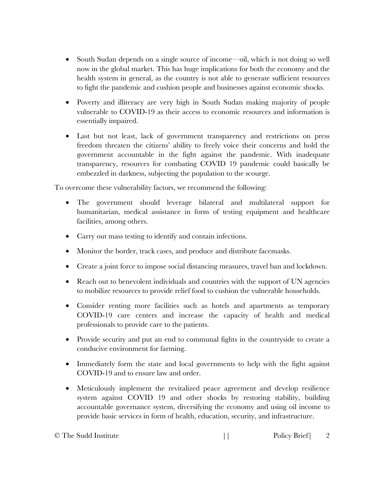- South Sudan depends on a single source of income—oil, which is not doing so well now in the global market. This has huge implications for both the economy and the health system in general, as the country is not able to generate sufficient resources to fight the pandemic and cushion people and businesses against economic shocks.
- Poverty and illiteracy are very high in South Sudan making majority of people vulnerable to COVID-19 as their access to economic resources and information is essentially impaired.
- Last but not least, lack of government transparency and restrictions on press freedom threaten the citizens' ability to freely voice their concerns and hold the government accountable in the fight against the pandemic. With inadequate transparency, resources for combating COVID 19 pandemic could basically be embezzled in darkness, subjecting the population to the scourge.

To overcome these vulnerability factors, we recommend the following:

- The government should leverage bilateral and multilateral support for humanitarian, medical assistance in form of testing equipment and healthcare facilities, among others.
- Carry out mass testing to identify and contain infections.
- Monitor the border, track cases, and produce and distribute facemasks.
- Create a joint force to impose social distancing measures, travel ban and lockdown.
- Reach out to benevolent individuals and countries with the support of UN agencies to mobilize resources to provide relief food to cushion the vulnerable households.
- Consider renting more facilities such as hotels and apartments as temporary COVID-19 care centers and increase the capacity of health and medical professionals to provide care to the patients.
- Provide security and put an end to communal fights in the countryside to create a conducive environment for farming.
- Immediately form the state and local governments to help with the fight against COVID-19 and to ensure law and order.
- Meticulously implement the revitalized peace agreement and develop resilience system against COVID 19 and other shocks by restoring stability, building accountable governance system, diversifying the economy and using oil income to provide basic services in form of health, education, security, and infrastructure.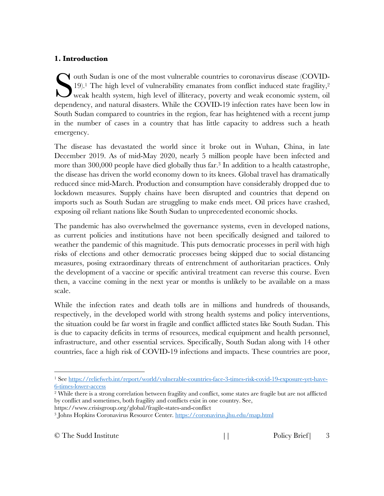### **1. Introduction**

outh Sudan is one of the most vulnerable countries to coronavirus disease (COVID-19).<sup>1</sup> The high level of vulnerability emanates from conflict induced state fragility,<sup>2</sup> weak health system, high level of illiteracy, poverty and weak economic system, oil dependency, and natural disasters. While the COVID-19 infection rates have been low in South Sudan compared to countries in the region, fear has heightened with a recent jump in the number of cases in a country that has little capacity to address such a heath emergency. S

The disease has devastated the world since it broke out in Wuhan, China, in late December 2019. As of mid-May 2020, nearly 5 million people have been infected and more than 300,000 people have died globally thus far. <sup>3</sup> In addition to a health catastrophe, the disease has driven the world economy down to its knees. Global travel has dramatically reduced since mid-March. Production and consumption have considerably dropped due to lockdown measures. Supply chains have been disrupted and countries that depend on imports such as South Sudan are struggling to make ends meet. Oil prices have crashed, exposing oil reliant nations like South Sudan to unprecedented economic shocks.

The pandemic has also overwhelmed the governance systems, even in developed nations, as current policies and institutions have not been specifically designed and tailored to weather the pandemic of this magnitude. This puts democratic processes in peril with high risks of elections and other democratic processes being skipped due to social distancing measures, posing extraordinary threats of entrenchment of authoritarian practices. Only the development of a vaccine or specific antiviral treatment can reverse this course. Even then, a vaccine coming in the next year or months is unlikely to be available on a mass scale.

While the infection rates and death tolls are in millions and hundreds of thousands, respectively, in the developed world with strong health systems and policy interventions, the situation could be far worst in fragile and conflict afflicted states like South Sudan. This is due to capacity deficits in terms of resources, medical equipment and health personnel, infrastructure, and other essential services. Specifically, South Sudan along with 14 other countries, face a high risk of COVID-19 infections and impacts. These countries are poor,

 <sup>1</sup> See https://reliefweb.int/report/world/vulnerable-countries-face-3-times-risk-covid-19-exposure-yet-have-6-times-lower-access

<sup>2</sup> While there is a strong correlation between fragility and conflict, some states are fragile but are not afflicted by conflict and sometimes, both fragility and conflicts exist in one country. See, https://www.crisisgroup.org/global/fragile-states-and-conflict

<sup>3</sup> Johns Hopkins Coronavirus Resource Center. https://coronavirus.jhu.edu/map.html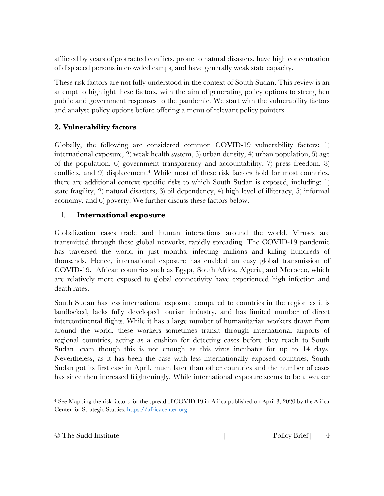afflicted by years of protracted conflicts, prone to natural disasters, have high concentration of displaced persons in crowded camps, and have generally weak state capacity.

These risk factors are not fully understood in the context of South Sudan. This review is an attempt to highlight these factors, with the aim of generating policy options to strengthen public and government responses to the pandemic. We start with the vulnerability factors and analyse policy options before offering a menu of relevant policy pointers.

### **2. Vulnerability factors**

Globally, the following are considered common COVID-19 vulnerability factors: 1) international exposure, 2) weak health system, 3) urban density, 4) urban population, 5) age of the population, 6) government transparency and accountability, 7) press freedom, 8) conflicts, and 9) displacement.4 While most of these risk factors hold for most countries, there are additional context specific risks to which South Sudan is exposed, including: 1) state fragility, 2) natural disasters, 3) oil dependency, 4) high level of illiteracy, 5) informal economy, and 6) poverty. We further discuss these factors below.

### I. **International exposure**

Globalization eases trade and human interactions around the world. Viruses are transmitted through these global networks, rapidly spreading. The COVID-19 pandemic has traversed the world in just months, infecting millions and killing hundreds of thousands. Hence, international exposure has enabled an easy global transmission of COVID-19. African countries such as Egypt, South Africa, Algeria, and Morocco, which are relatively more exposed to global connectivity have experienced high infection and death rates.

South Sudan has less international exposure compared to countries in the region as it is landlocked, lacks fully developed tourism industry, and has limited number of direct intercontinental flights. While it has a large number of humanitarian workers drawn from around the world, these workers sometimes transit through international airports of regional countries, acting as a cushion for detecting cases before they reach to South Sudan, even though this is not enough as this virus incubates for up to 14 days. Nevertheless, as it has been the case with less internationally exposed countries, South Sudan got its first case in April, much later than other countries and the number of cases has since then increased frighteningly. While international exposure seems to be a weaker

 <sup>4</sup> See Mapping the risk factors for the spread of COVID 19 in Africa published on April 3, 2020 by the Africa Center for Strategic Studies. https://africacenter.org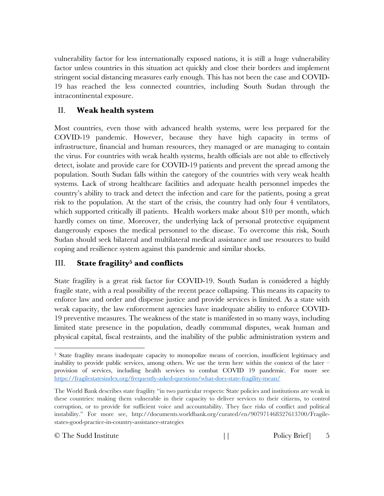vulnerability factor for less internationally exposed nations, it is still a huge vulnerability factor unless countries in this situation act quickly and close their borders and implement stringent social distancing measures early enough. This has not been the case and COVID-19 has reached the less connected countries, including South Sudan through the intracontinental exposure.

# II. **Weak health system**

Most countries, even those with advanced health systems, were less prepared for the COVID-19 pandemic. However, because they have high capacity in terms of infrastructure, financial and human resources, they managed or are managing to contain the virus. For countries with weak health systems, health officials are not able to effectively detect, isolate and provide care for COVID-19 patients and prevent the spread among the population. South Sudan falls within the category of the countries with very weak health systems. Lack of strong healthcare facilities and adequate health personnel impedes the country's ability to track and detect the infection and care for the patients, posing a great risk to the population. At the start of the crisis, the country had only four 4 ventilators, which supported critically ill patients. Health workers make about \$10 per month, which hardly comes on time. Moreover, the underlying lack of personal protective equipment dangerously exposes the medical personnel to the disease. To overcome this risk, South Sudan should seek bilateral and multilateral medical assistance and use resources to build coping and resilience system against this pandemic and similar shocks.

# III. **State fragility5 and conflicts**

State fragility is a great risk factor for COVID-19. South Sudan is considered a highly fragile state, with a real possibility of the recent peace collapsing. This means its capacity to enforce law and order and dispense justice and provide services is limited. As a state with weak capacity, the law enforcement agencies have inadequate ability to enforce COVID-19 preventive measures. The weakness of the state is manifested in so many ways, including limited state presence in the population, deadly communal disputes, weak human and physical capital, fiscal restraints, and the inability of the public administration system and

 <sup>5</sup> State fragility means inadequate capacity to monopolize means of coercion, insufficient legitimacy and inability to provide public services, among others. We use the term here within the context of the later  $$ provision of services, including health services to combat COVID 19 pandemic. For more see https://fragilestatesindex.org/frequently-asked-questions/what-does-state-fragility-mean/

The World Bank describes state fragility "in two particular respects: State policies and institutions are weak in these countries: making them vulnerable in their capacity to deliver services to their citizens, to control corruption, or to provide for sufficient voice and accountability. They face risks of conflict and political instability." For more see, http://documents.worldbank.org/curated/en/907971468327613700/Fragilestates-good-practice-in-country-assistance-strategies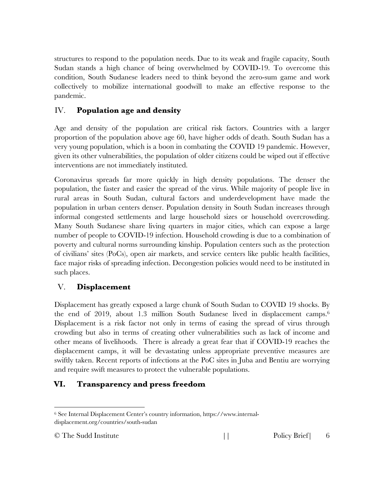structures to respond to the population needs. Due to its weak and fragile capacity, South Sudan stands a high chance of being overwhelmed by COVID-19. To overcome this condition, South Sudanese leaders need to think beyond the zero-sum game and work collectively to mobilize international goodwill to make an effective response to the pandemic.

# IV. **Population age and density**

Age and density of the population are critical risk factors. Countries with a larger proportion of the population above age 60, have higher odds of death. South Sudan has a very young population, which is a boon in combating the COVID 19 pandemic. However, given its other vulnerabilities, the population of older citizens could be wiped out if effective interventions are not immediately instituted.

Coronavirus spreads far more quickly in high density populations. The denser the population, the faster and easier the spread of the virus. While majority of people live in rural areas in South Sudan, cultural factors and underdevelopment have made the population in urban centers denser. Population density in South Sudan increases through informal congested settlements and large household sizes or household overcrowding. Many South Sudanese share living quarters in major cities, which can expose a large number of people to COVID-19 infection. Household crowding is due to a combination of poverty and cultural norms surrounding kinship. Population centers such as the protection of civilians' sites (PoCs), open air markets, and service centers like public health facilities, face major risks of spreading infection. Decongestion policies would need to be instituted in such places.

# V. **Displacement**

Displacement has greatly exposed a large chunk of South Sudan to COVID 19 shocks. By the end of 2019, about 1.3 million South Sudanese lived in displacement camps. 6 Displacement is a risk factor not only in terms of easing the spread of virus through crowding but also in terms of creating other vulnerabilities such as lack of income and other means of livelihoods. There is already a great fear that if COVID-19 reaches the displacement camps, it will be devastating unless appropriate preventive measures are swiftly taken. Recent reports of infections at the PoC sites in Juba and Bentiu are worrying and require swift measures to protect the vulnerable populations.

# **VI. Transparency and press freedom**

 <sup>6</sup> See Internal Displacement Center's country information, https://www.internaldisplacement.org/countries/south-sudan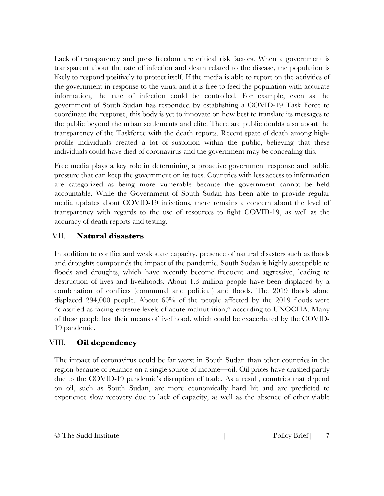Lack of transparency and press freedom are critical risk factors. When a government is transparent about the rate of infection and death related to the disease, the population is likely to respond positively to protect itself. If the media is able to report on the activities of the government in response to the virus, and it is free to feed the population with accurate information, the rate of infection could be controlled. For example, even as the government of South Sudan has responded by establishing a COVID-19 Task Force to coordinate the response, this body is yet to innovate on how best to translate its messages to the public beyond the urban settlements and elite. There are public doubts also about the transparency of the Taskforce with the death reports. Recent spate of death among highprofile individuals created a lot of suspicion within the public, believing that these individuals could have died of coronavirus and the government may be concealing this.

Free media plays a key role in determining a proactive government response and public pressure that can keep the government on its toes. Countries with less access to information are categorized as being more vulnerable because the government cannot be held accountable. While the Government of South Sudan has been able to provide regular media updates about COVID-19 infections, there remains a concern about the level of transparency with regards to the use of resources to fight COVID-19, as well as the accuracy of death reports and testing.

### VII. **Natural disasters**

In addition to conflict and weak state capacity, presence of natural disasters such as floods and droughts compounds the impact of the pandemic. South Sudan is highly susceptible to floods and droughts, which have recently become frequent and aggressive, leading to destruction of lives and livelihoods. About 1.3 million people have been displaced by a combination of conflicts (communal and political) and floods. The 2019 floods alone displaced 294,000 people. About 60% of the people affected by the 2019 floods were "classified as facing extreme levels of acute malnutrition," according to UNOCHA. Many of these people lost their means of livelihood, which could be exacerbated by the COVID-19 pandemic.

### VIII. **Oil dependency**

The impact of coronavirus could be far worst in South Sudan than other countries in the region because of reliance on a single source of income—oil. Oil prices have crashed partly due to the COVID-19 pandemic's disruption of trade. As a result, countries that depend on oil, such as South Sudan, are more economically hard hit and are predicted to experience slow recovery due to lack of capacity, as well as the absence of other viable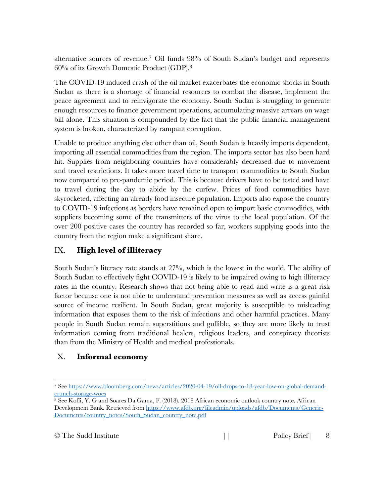alternative sources of revenue. <sup>7</sup> Oil funds 98% of South Sudan's budget and represents 60% of its Growth Domestic Product (GDP).8

The COVID-19 induced crash of the oil market exacerbates the economic shocks in South Sudan as there is a shortage of financial resources to combat the disease, implement the peace agreement and to reinvigorate the economy. South Sudan is struggling to generate enough resources to finance government operations, accumulating massive arrears on wage bill alone. This situation is compounded by the fact that the public financial management system is broken, characterized by rampant corruption.

Unable to produce anything else other than oil, South Sudan is heavily imports dependent, importing all essential commodities from the region. The imports sector has also been hard hit. Supplies from neighboring countries have considerably decreased due to movement and travel restrictions. It takes more travel time to transport commodities to South Sudan now compared to pre-pandemic period. This is because drivers have to be tested and have to travel during the day to abide by the curfew. Prices of food commodities have skyrocketed, affecting an already food insecure population. Imports also expose the country to COVID-19 infections as borders have remained open to import basic commodities, with suppliers becoming some of the transmitters of the virus to the local population. Of the over 200 positive cases the country has recorded so far, workers supplying goods into the country from the region make a significant share.

# IX. **High level of illiteracy**

South Sudan's literacy rate stands at 27%, which is the lowest in the world. The ability of South Sudan to effectively fight COVID-19 is likely to be impaired owing to high illiteracy rates in the country. Research shows that not being able to read and write is a great risk factor because one is not able to understand prevention measures as well as access gainful source of income resilient. In South Sudan, great majority is susceptible to misleading information that exposes them to the risk of infections and other harmful practices. Many people in South Sudan remain superstitious and gullible, so they are more likely to trust information coming from traditional healers, religious leaders, and conspiracy theorists than from the Ministry of Health and medical professionals.

# X. **Informal economy**

 <sup>7</sup> See https://www.bloomberg.com/news/articles/2020-04-19/oil-drops-to-18-year-low-on-global-demandcrunch-storage-woes

<sup>8</sup> See Koffi, Y. G and Soares Da Gama, F. (2018). 2018 African economic outlook country note. African Development Bank. Retrieved from https://www.afdb.org/fileadmin/uploads/afdb/Documents/Generic-Documents/country\_notes/South\_Sudan\_country\_note.pdf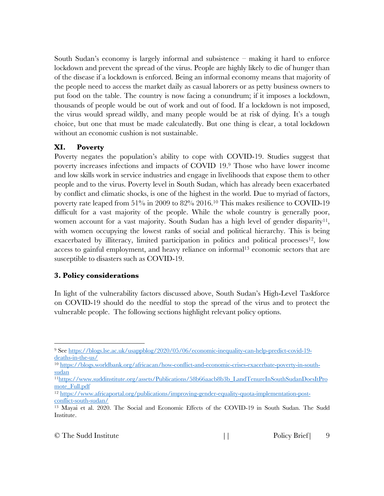South Sudan's economy is largely informal and subsistence – making it hard to enforce lockdown and prevent the spread of the virus. People are highly likely to die of hunger than of the disease if a lockdown is enforced. Being an informal economy means that majority of the people need to access the market daily as casual laborers or as petty business owners to put food on the table. The country is now facing a conundrum; if it imposes a lockdown, thousands of people would be out of work and out of food. If a lockdown is not imposed, the virus would spread wildly, and many people would be at risk of dying. It's a tough choice, but one that must be made calculatedly. But one thing is clear, a total lockdown without an economic cushion is not sustainable.

### **XI. Poverty**

Poverty negates the population's ability to cope with COVID-19. Studies suggest that poverty increases infections and impacts of COVID 19.9 Those who have lower income and low skills work in service industries and engage in livelihoods that expose them to other people and to the virus. Poverty level in South Sudan, which has already been exacerbated by conflict and climatic shocks, is one of the highest in the world. Due to myriad of factors, poverty rate leaped from 51% in 2009 to 82% 2016.10 This makes resilience to COVID-19 difficult for a vast majority of the people. While the whole country is generally poor, women account for a vast majority. South Sudan has a high level of gender disparity<sup>11</sup>, with women occupying the lowest ranks of social and political hierarchy. This is being exacerbated by illiteracy, limited participation in politics and political processes<sup>12</sup>, low access to gainful employment, and heavy reliance on informal13 economic sectors that are susceptible to disasters such as COVID-19.

### **3. Policy considerations**

In light of the vulnerability factors discussed above, South Sudan's High-Level Taskforce on COVID-19 should do the needful to stop the spread of the virus and to protect the vulnerable people. The following sections highlight relevant policy options.

 <sup>9</sup> See https://blogs.lse.ac.uk/usappblog/2020/05/06/economic-inequality-can-help-predict-covid-19 deaths-in-the-us/

<sup>10</sup> https://blogs.worldbank.org/africacan/how-conflict-and-economic-crises-exacerbate-poverty-in-southsudan

<sup>11</sup>https://www.suddinstitute.org/assets/Publications/58b66aacb8b3b\_LandTenureInSouthSudanDoesItPro mote\_Full.pdf

<sup>12</sup> https://www.africaportal.org/publications/improving-gender-equality-quota-implementation-postconflict-south-sudan/

<sup>13</sup> Mayai et al. 2020. The Social and Economic Effects of the COVID-19 in South Sudan. The Sudd Institute.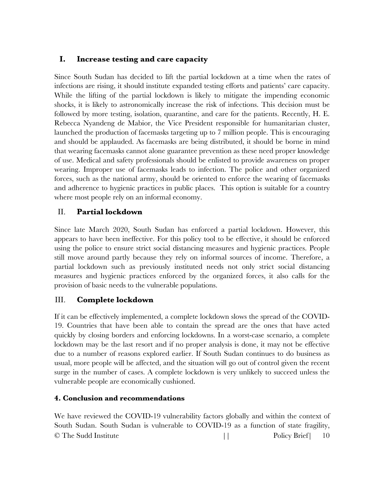### **I. Increase testing and care capacity**

Since South Sudan has decided to lift the partial lockdown at a time when the rates of infections are rising, it should institute expanded testing efforts and patients' care capacity. While the lifting of the partial lockdown is likely to mitigate the impending economic shocks, it is likely to astronomically increase the risk of infections. This decision must be followed by more testing, isolation, quarantine, and care for the patients. Recently, H. E. Rebecca Nyandeng de Mabior, the Vice President responsible for humanitarian cluster, launched the production of facemasks targeting up to 7 million people. This is encouraging and should be applauded. As facemasks are being distributed, it should be borne in mind that wearing facemasks cannot alone guarantee prevention as these need proper knowledge of use. Medical and safety professionals should be enlisted to provide awareness on proper wearing. Improper use of facemasks leads to infection. The police and other organized forces, such as the national army, should be oriented to enforce the wearing of facemasks and adherence to hygienic practices in public places. This option is suitable for a country where most people rely on an informal economy.

# II. **Partial lockdown**

Since late March 2020, South Sudan has enforced a partial lockdown. However, this appears to have been ineffective. For this policy tool to be effective, it should be enforced using the police to ensure strict social distancing measures and hygienic practices. People still move around partly because they rely on informal sources of income. Therefore, a partial lockdown such as previously instituted needs not only strict social distancing measures and hygienic practices enforced by the organized forces, it also calls for the provision of basic needs to the vulnerable populations.

### III. **Complete lockdown**

If it can be effectively implemented, a complete lockdown slows the spread of the COVID-19. Countries that have been able to contain the spread are the ones that have acted quickly by closing borders and enforcing lockdowns. In a worst-case scenario, a complete lockdown may be the last resort and if no proper analysis is done, it may not be effective due to a number of reasons explored earlier. If South Sudan continues to do business as usual, more people will be affected, and the situation will go out of control given the recent surge in the number of cases. A complete lockdown is very unlikely to succeed unless the vulnerable people are economically cushioned.

### **4. Conclusion and recommendations**

© The Sudd Institute  $\begin{array}{ccc} | & | & \text{Policy Brief} & 10 \end{array}$ We have reviewed the COVID-19 vulnerability factors globally and within the context of South Sudan. South Sudan is vulnerable to COVID-19 as a function of state fragility,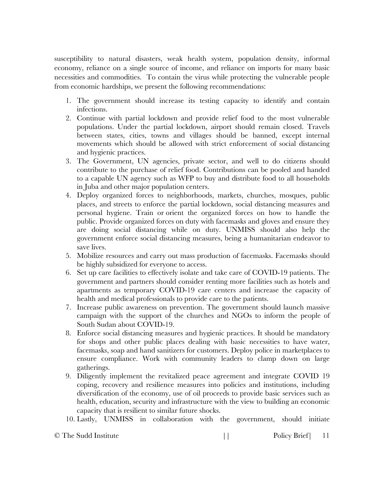susceptibility to natural disasters, weak health system, population density, informal economy, reliance on a single source of income, and reliance on imports for many basic necessities and commodities. To contain the virus while protecting the vulnerable people from economic hardships, we present the following recommendations:

- 1. The government should increase its testing capacity to identify and contain infections.
- 2. Continue with partial lockdown and provide relief food to the most vulnerable populations. Under the partial lockdown, airport should remain closed. Travels between states, cities, towns and villages should be banned, except internal movements which should be allowed with strict enforcement of social distancing and hygienic practices.
- 3. The Government, UN agencies, private sector, and well to do citizens should contribute to the purchase of relief food. Contributions can be pooled and handed to a capable UN agency such as WFP to buy and distribute food to all households in Juba and other major population centers.
- 4. Deploy organized forces to neighborhoods, markets, churches, mosques, public places, and streets to enforce the partial lockdown, social distancing measures and personal hygiene. Train or orient the organized forces on how to handle the public. Provide organized forces on duty with facemasks and gloves and ensure they are doing social distancing while on duty. UNMISS should also help the government enforce social distancing measures, being a humanitarian endeavor to save lives.
- 5. Mobilize resources and carry out mass production of facemasks. Facemasks should be highly subsidized for everyone to access.
- 6. Set up care facilities to effectively isolate and take care of COVID-19 patients. The government and partners should consider renting more facilities such as hotels and apartments as temporary COVID-19 care centers and increase the capacity of health and medical professionals to provide care to the patients.
- 7. Increase public awareness on prevention. The government should launch massive campaign with the support of the churches and NGOs to inform the people of South Sudan about COVID-19.
- 8. Enforce social distancing measures and hygienic practices. It should be mandatory for shops and other public places dealing with basic necessities to have water, facemasks, soap and hand sanitizers for customers. Deploy police in marketplaces to ensure compliance. Work with community leaders to clamp down on large gatherings.
- 9. Diligently implement the revitalized peace agreement and integrate COVID 19 coping, recovery and resilience measures into policies and institutions, including diversification of the economy, use of oil proceeds to provide basic services such as health, education, security and infrastructure with the view to building an economic capacity that is resilient to similar future shocks.
- 10. Lastly, UNMISS in collaboration with the government, should initiate